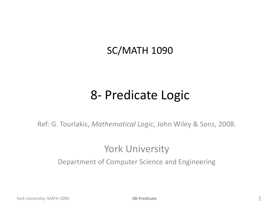#### SC/MATH 1090

#### 8- Predicate Logic

Ref: G. Tourlakis, *Mathematical Logic*, John Wiley & Sons, 2008.

#### York University

Department of Computer Science and Engineering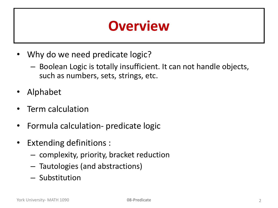### **Overview**

- Why do we need predicate logic?
	- Boolean Logic is totally insufficient. It can not handle objects, such as numbers, sets, strings, etc.
- Alphabet
- Term calculation
- Formula calculation- predicate logic
- Extending definitions :
	- complexity, priority, bracket reduction
	- Tautologies (and abstractions)
	- Substitution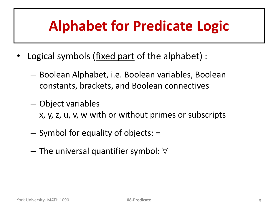# **Alphabet for Predicate Logic**

- Logical symbols (fixed part of the alphabet) :
	- Boolean Alphabet, i.e. Boolean variables, Boolean constants, brackets, and Boolean connectives
	- Object variables
		- x, y, z, u, v, w with or without primes or subscripts
	- Symbol for equality of objects: =
	- $-$  The universal quantifier symbol:  $\forall$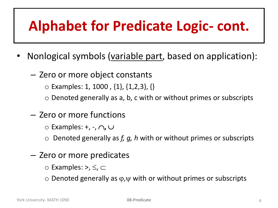# **Alphabet for Predicate Logic- cont.**

- Nonlogical symbols (variable part, based on application):
	- Zero or more object constants
		- $\circ$  Examples: 1, 1000, {1}, {1,2,3}, {}
		- $\circ$  Denoted generally as a, b, c with or without primes or subscripts
	- Zero or more functions
		- $\circ$  Examples: +, -,  $\cap$ ,  $\cup$
		- o Denoted generally as *f, g, h* with or without primes or subscripts
	- Zero or more predicates
		- $\circ$  Examples: >,  $\leq, \leq$
		- $\circ$  Denoted generally as  $\varphi, \psi$  with or without primes or subscripts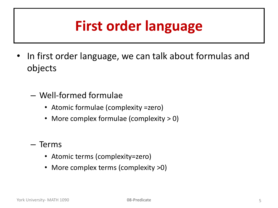# **First order language**

- In first order language, we can talk about formulas and objects
	- Well-formed formulae
		- Atomic formulae (complexity =zero)
		- More complex formulae (complexity > 0)
	- Terms
		- Atomic terms (complexity=zero)
		- More complex terms (complexity >0)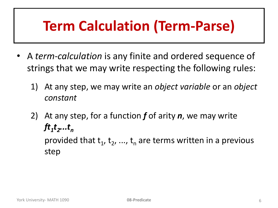# **Term Calculation (Term-Parse)**

- A *term-calculation* is any finite and ordered sequence of strings that we may write respecting the following rules:
	- 1) At any step, we may write an *object variable* or an *object constant*
	- 2) At any step, for a function *f* of arity *n*, we may write *ft1 t2 ...t<sup>n</sup>* provided that  $t_1$ ,  $t_2$ , ...,  $t_n$  are terms written in a previous step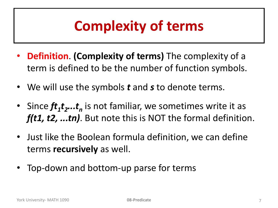# **Complexity of terms**

- **Definition**. **(Complexity of terms)** The complexity of a term is defined to be the number of function symbols.
- We will use the symbols *t* and *s* to denote terms.
- Since  $ft_1t_2...t_n$  is not familiar, we sometimes write it as *f(t1, t2, ...tn)*. But note this is NOT the formal definition.
- Just like the Boolean formula definition, we can define terms **recursively** as well.
- Top-down and bottom-up parse for terms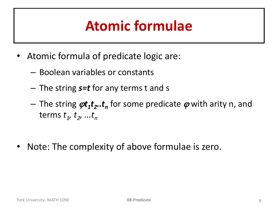# **Atomic formulae**

- Atomic formula of predicate logic are:
	- Boolean variables or constants
	- The string *s=t* for any terms t and s
	- $-$  The string  $\varphi t_{1}t_{2}$ .. $t_{n}$  for some predicate  $\varphi$  with arity n, and terms *t<sup>1</sup> , t2 , ...t<sup>n</sup>*
- Note: The complexity of above formulae is zero.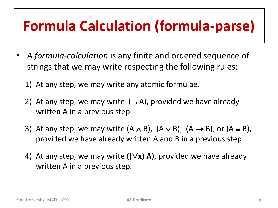# **Formula Calculation (formula-parse)**

- A *formula-calculation* is any finite and ordered sequence of strings that we may write respecting the following rules:
	- 1) At any step, we may write any atomic formulae.
	- 2) At any step, we may write  $(-, A)$ , provided we have already written A in a previous step.
	- 3) At any step, we may write  $(A \wedge B)$ ,  $(A \vee B)$ ,  $(A \rightarrow B)$ , or  $(A \equiv B)$ , provided we have already written A and B in a previous step.
	- 4) At any step, we may write  $((\forall x) A)$ , provided we have already written A in a previous step.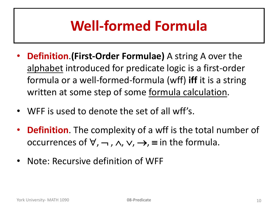# **Well-formed Formula**

- **Definition**.**(First-Order Formulae)** A string A over the alphabet introduced for predicate logic is a first-order formula or a well-formed-formula (wff) **iff** it is a string written at some step of some formula calculation.
- WFF is used to denote the set of all wff's.
- **Definition**. The complexity of a wff is the total number of occurrences of  $\forall$ ,  $\neg$ ,  $\wedge$ ,  $\vee$ ,  $\rightarrow$ ,  $\equiv$  in the formula.
- Note: Recursive definition of WFF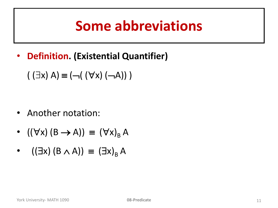### **Some abbreviations**

• **Definition. (Existential Quantifier)**

 $(\exists x) A$   $\equiv$   $(\neg ((\forall x) (\neg A)))$ 

- Another notation:
- $((\forall x) (B \rightarrow A)) \equiv (\forall x)_B A$
- $((\exists x) (B \wedge A)) \equiv (\exists x)_B A$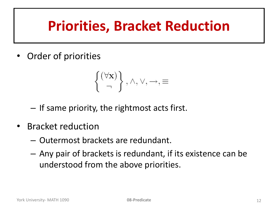# **Priorities, Bracket Reduction**

• Order of priorities

$$
\left\{\begin{matrix}(\forall \mathbf{x}) \\ \neg\end{matrix}\right\}, \wedge, \vee, \rightarrow, \equiv
$$

- If same priority, the rightmost acts first.
- Bracket reduction
	- Outermost brackets are redundant.
	- Any pair of brackets is redundant, if its existence can be understood from the above priorities.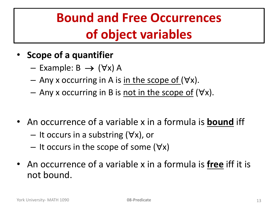#### **Bound and Free Occurrences of object variables**

- **Scope of a quantifier**
	- $-$  Example: B  $\rightarrow$  ( $\forall x$ ) A
	- Any x occurring in A is in the scope of  $(\forall x)$ .
	- Any x occurring in B is not in the scope of  $(\forall x)$ .
- An occurrence of a variable x in a formula is **bound** iff
	- $-$  It occurs in a substring  $(\forall x)$ , or
	- $-$  It occurs in the scope of some ( $\forall x$ )
- An occurrence of a variable x in a formula is **free** iff it is not bound.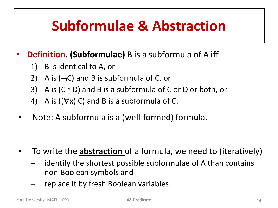### **Subformulae & Abstraction**

#### • **Definition. (Subformulae)** B is a subformula of A iff

- 1) B is identical to A, or
- 2) A is  $(-C)$  and B is subformula of C, or
- 3) A is  $(C \circ D)$  and B is a subformula of C or D or both, or
- 4) A is  $((\forall x) C)$  and B is a subformula of C.
- Note: A subformula is a (well-formed) formula.

- To write the **abstraction** of a formula, we need to (iteratively)
	- identify the shortest possible subformulae of A than contains non-Boolean symbols and
	- replace it by fresh Boolean variables.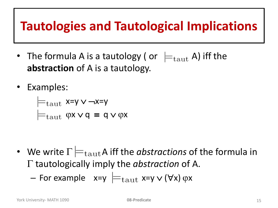#### **Tautologies and Tautological Implications**

- The formula A is a tautology ( or  $\ \models_{\text{taut}} A$ ) iff the **abstraction** of A is a tautology.
- Examples:

$$
\models_{\text{taut}} x=y \lor \neg x=y
$$

$$
\models_{\text{taut}} \varphi x \lor q \equiv q \lor \varphi x
$$

- We write  $\Gamma \models_{\text{taut}} A$  iff the *abstractions* of the formula in  $\Gamma$  tautologically imply the *abstraction* of A.
	- For example  $x=y \models_{\text{taut}} x=y \vee (\forall x) \varphi x$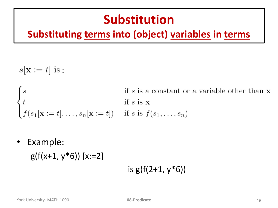#### **Substitution**

#### **Substituting terms into (object) variables in terms**

 $s[\mathbf{x} := t]$  is:

if s is a constant or a variable other than **x**  $\begin{cases}\ns & \text{if } s \text{ is a constant of} \\
t & \text{if } s \text{ is } \mathbf{x} \\
f(s_1|\mathbf{x} := t], \dots, s_n|\mathbf{x} := t]\n\end{cases} \quad \text{if } s \text{ is } f(s_1, \dots, s_n)$ 

• Example:

 $g(f(x+1, y*6))$  [x:=2]

#### is  $g(f(2+1, y*6))$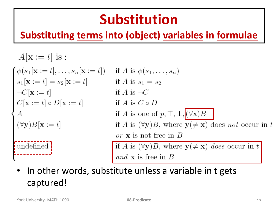# **Substitution**

#### **Substituting terms into (object) variables in formulae**

$$
A[\mathbf{x} := t] \text{ is :}
$$
\n
$$
\begin{cases}\n\phi(s_1[\mathbf{x} := t], \dots, s_n[\mathbf{x} := t]) & \text{if } A \text{ is } \phi(s_1, \dots, s_n) \\
s_1[\mathbf{x} := t] = s_2[\mathbf{x} := t] & \text{if } A \text{ is } s_1 = s_2 \\
\neg C[\mathbf{x} := t] & \text{if } A \text{ is } \neg C \\
C[\mathbf{x} := t] \circ D[\mathbf{x} := t] & \text{if } A \text{ is } C \circ D \\
A & \text{if } A \text{ is one of } p, \top, \bot, \boxed{(\forall \mathbf{x})B} \\
(\forall \mathbf{y})B[\mathbf{x} := t] & \text{if } A \text{ is } (\forall \mathbf{y})B, \text{ where } \mathbf{y}(\neq \mathbf{x}) \text{ does not occur in } t \\
\text{undefined}\n\end{cases}
$$
\n
$$
\begin{cases}\n\text{underlined} \\
\text{undefined} \\
\text{and } \mathbf{x} \text{ is free in } B\n\end{cases}
$$

• In other words, substitute unless a variable in t gets captured!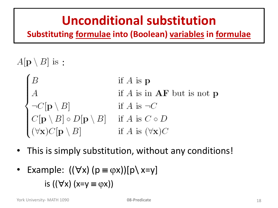#### **Unconditional substitution**

**Substituting formulae into (Boolean) variables in formulae**

- $A[\mathbf{p} \setminus B]$  is:
	- if  $A$  is  $p$ A<br>  $\begin{cases}\nA & \text{if } A \text{ is in } AF \\
	\neg C[\mathbf{p} \setminus B] & \text{if } A \text{ is } \neg C \\
	C[\mathbf{p} \setminus B] \circ D[\mathbf{p} \setminus B] & \text{if } A \text{ is } C \circ D \\
	(\forall \mathbf{x}) C[\mathbf{p} \setminus B] & \text{if } A \text{ is } (\forall \mathbf{x}) C\n\end{cases}$ if  $A$  is in  $AF$  but is not p
- This is simply substitution, without any conditions!
- Example:  $((\forall x)(p \equiv \varphi x))(p \setminus x=y)$ is  $((\forall x) (x=y \equiv \varphi x))$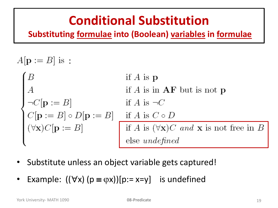#### **Conditional Substitution**

**Substituting formulae into (Boolean) variables in formulae**

 $A[\mathbf{p} := B]$  is:

- if  $A$  is  $p$  $\begin{cases}\nB & \text{if } A \text{ is } \mathbf{p} \\
A & \text{if } A \text{ is in } \mathbf{AF} \text{ but is not } \mathbf{p} \\
\neg C[\mathbf{p} := B] & \text{if } A \text{ is } \neg C \\
C[\mathbf{p} := B] \circ D[\mathbf{p} := B] & \text{if } A \text{ is } C \circ D \\
(\forall \mathbf{x}) C[\mathbf{p} := B] & \text{if } A \text{ is } (\forall \mathbf{x}) C \text{ and } \mathbf{x} \text{ is not free in } B \\
\text{else undefined}\n\end{cases}$
- Substitute unless an object variable gets captured!
- Example:  $((\forall x)(p \equiv \varphi x))[p:=x=y]$  is undefined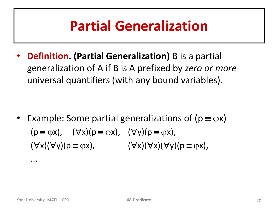### **Partial Generalization**

• **Definition. (Partial Generalization)** B is a partial generalization of A if B is A prefixed by *zero or more*  universal quantifiers (with any bound variables).

• Example: Some partial generalizations of ( $p \equiv \varphi x$ )  $(p \equiv \varphi x)$ ,  $(\forall x)(p \equiv \varphi x)$ ,  $(\forall y)(p \equiv \varphi x)$ ,  $(\forall x)(\forall y)(p \equiv \varphi x),$   $(\forall x)(\forall x)(\forall y)(p \equiv \varphi x),$ 

...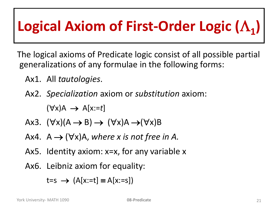# Logical Axiom of First-Order Logic ( $\Lambda$ <sub>1</sub>)

The logical axioms of Predicate logic consist of all possible partial generalizations of any formulae in the following forms:

- Ax1. All *tautologies*.
- Ax2. *Specialization* axiom or *substitution* axiom:

 $(\forall x)$ A  $\rightarrow$  A[x:=t]

- Ax3.  $(\forall x)(A \rightarrow B) \rightarrow (\forall x)A \rightarrow (\forall x)B$
- Ax4.  $A \rightarrow (\forall x)A$ , where x is not free in A.
- Ax5. Identity axiom: x=x, for any variable x
- Ax6. Leibniz axiom for equality:

 $t=s \rightarrow (A[x:=t] \equiv A[x:=s])$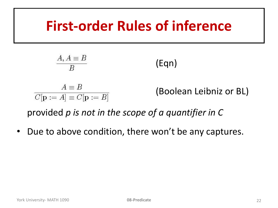#### **First-order Rules of inference**

$$
\frac{A, A \equiv B}{B}
$$
 (Eqn)  

$$
\frac{A \equiv B}{C[\mathbf{p} := A] \equiv C[\mathbf{p} := B]}
$$
 (Boolean Leibniz or BL)

provided *p is not in the scope of a quantifier in C*

• Due to above condition, there won't be any captures.